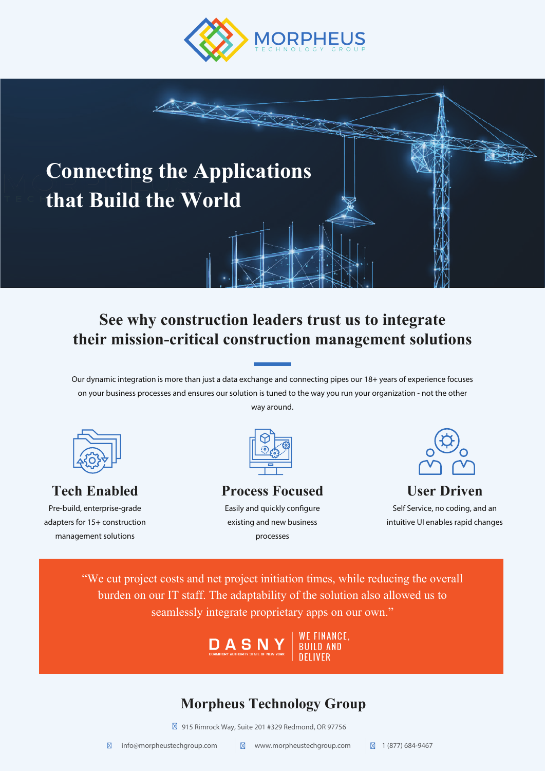

## **Connecting the Applications that Build the World**

### **See why construction leaders trust us to integrate their mission-critical construction management solutions**

Our dynamic integration is more than just a data exchange and connecting pipes our 18+ years of experience focuses on your business processes and ensures our solution is tuned to the way you run your organization - not the other way around.



### **Tech Enabled**

Pre-build, enterprise-grade adapters for 15+ construction management solutions



#### **Process Focused** Easily and quickly configure existing and new business processes



# **User Driven**

Self Service, no coding, and an intuitive UI enables rapid changes

"We cut project costs and net project initiation times, while reducing the overall burden on our IT staff. The adaptability of the solution also allowed us to seamlessly integrate proprietary apps on our own."

DASNY

*IE FINANCE.* BUILD AND

### **Morpheus Technology Group**

915 Rimrock Way, Suite 201 #329 Redmond, OR 97756